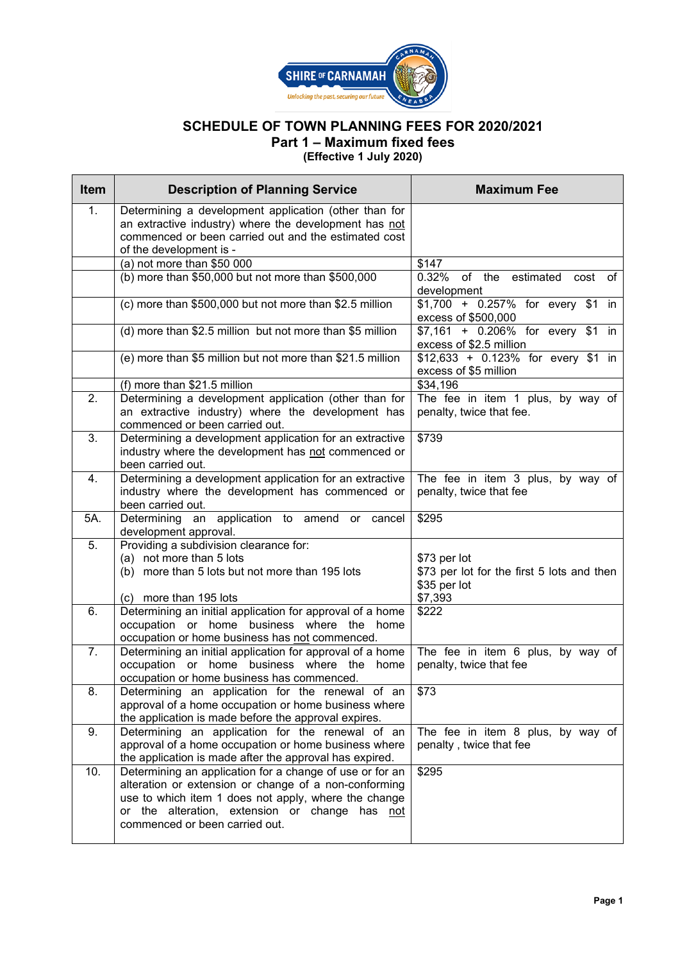

## **SCHEDULE OF TOWN PLANNING FEES FOR 2020/2021 Part 1 – Maximum fixed fees (Effective 1 July 2020)**

| <b>Item</b> | <b>Description of Planning Service</b>                                                                                                                                                            | <b>Maximum Fee</b>                                                    |
|-------------|---------------------------------------------------------------------------------------------------------------------------------------------------------------------------------------------------|-----------------------------------------------------------------------|
| 1.          | Determining a development application (other than for<br>an extractive industry) where the development has not<br>commenced or been carried out and the estimated cost<br>of the development is - |                                                                       |
|             | (a) not more than $$50 000$                                                                                                                                                                       | \$147                                                                 |
|             | (b) more than \$50,000 but not more than \$500,000                                                                                                                                                | 0.32% of the estimated<br>cost<br>of<br>development                   |
|             | (c) more than \$500,000 but not more than \$2.5 million                                                                                                                                           | \$1,700 + 0.257% for every \$1 in<br>excess of \$500,000              |
|             | (d) more than \$2.5 million but not more than \$5 million                                                                                                                                         | \$7,161 + 0.206% for every \$1 in<br>excess of \$2.5 million          |
|             | (e) more than \$5 million but not more than \$21.5 million                                                                                                                                        | $$12,633 + 0.123\%$ for every \$1 in<br>excess of \$5 million         |
|             | (f) more than \$21.5 million                                                                                                                                                                      | \$34,196                                                              |
| 2.          | Determining a development application (other than for                                                                                                                                             | The fee in item 1 plus, by way of                                     |
|             | an extractive industry) where the development has<br>commenced or been carried out.                                                                                                               | penalty, twice that fee.                                              |
| 3.          | Determining a development application for an extractive<br>industry where the development has not commenced or                                                                                    | \$739                                                                 |
|             | been carried out.                                                                                                                                                                                 |                                                                       |
| 4.          | Determining a development application for an extractive                                                                                                                                           | The fee in item 3 plus, by way of                                     |
|             | industry where the development has commenced or                                                                                                                                                   | penalty, twice that fee                                               |
|             | been carried out.                                                                                                                                                                                 |                                                                       |
| 5A.         | Determining an application to amend or cancel<br>development approval.                                                                                                                            | \$295                                                                 |
| 5.          | Providing a subdivision clearance for:                                                                                                                                                            |                                                                       |
|             | (a) not more than 5 lots<br>(b) more than 5 lots but not more than 195 lots                                                                                                                       | \$73 per lot                                                          |
|             | (c) more than 195 lots                                                                                                                                                                            | \$73 per lot for the first 5 lots and then<br>\$35 per lot<br>\$7,393 |
| 6.          | Determining an initial application for approval of a home                                                                                                                                         | \$222                                                                 |
|             | occupation or home business where the home                                                                                                                                                        |                                                                       |
|             | occupation or home business has not commenced.                                                                                                                                                    |                                                                       |
| 7.          | Determining an initial application for approval of a home                                                                                                                                         | The fee in item 6 plus, by way of                                     |
|             | occupation or home business where the<br>home<br>occupation or home business has commenced.                                                                                                       | penalty, twice that fee                                               |
| 8.          | Determining an application for the renewal of an                                                                                                                                                  | \$73                                                                  |
|             | approval of a home occupation or home business where                                                                                                                                              |                                                                       |
|             | the application is made before the approval expires.                                                                                                                                              |                                                                       |
| 9.          | Determining an application for the renewal of an<br>approval of a home occupation or home business where                                                                                          | The fee in item 8 plus, by way of                                     |
|             | the application is made after the approval has expired.                                                                                                                                           | penalty, twice that fee                                               |
| 10.         | Determining an application for a change of use or for an                                                                                                                                          | \$295                                                                 |
|             | alteration or extension or change of a non-conforming                                                                                                                                             |                                                                       |
|             | use to which item 1 does not apply, where the change                                                                                                                                              |                                                                       |
|             | or the alteration, extension or change has not                                                                                                                                                    |                                                                       |
|             | commenced or been carried out.                                                                                                                                                                    |                                                                       |